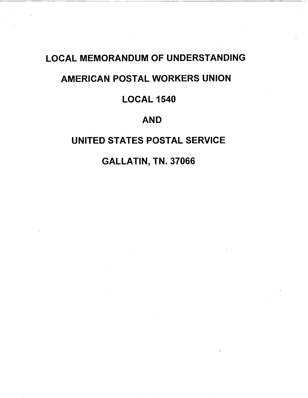# LOCAL MEMORANDUM OF UNDERSTANDING

### AMERICAN POSTAL WORKERS UNION

## LOCAL 1540

### AND

# UNITED STATES POSTAL SERVICE

GALLATIN, TN. 37066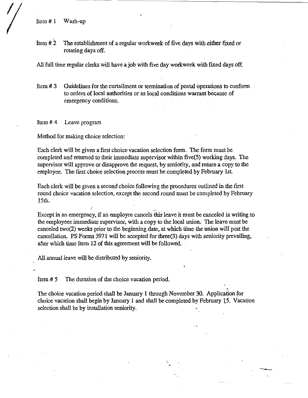Item # 1 Wash-up

Item # 2 The establishment of a regular workweek of five days with either fixed or rotating days off.

All full time regular clerks will have a job with five day workweek with fixed days off.

Item # 3 Guidelines for the curtailment or termination of postal operations to conform to orders of local authorities or as local conditions warrant because of emergency conditions.

Item # 4 Leave program

Method for making choice selection:

Each clerk will be given a first choice vacation selection form. The form must be completed and returned to their immediate supervisor within five(5) working days. The supervisor will approve or disapprove the request, by seniority, and return a copy to the employee. The first choice selection process must be completed by February 1st.

Each clerk will be given a second choice following the procedures outlined in the first round choice vacation selection, except the second round must be completed by February 15th.

Except in an emergency, if an employee cancels this leave it must be canceled in writing to the employees immediate supervisor, with a copy to the local union. The leave must be canceled two(2) weeks prior to the beginning date, at which time the union will post the cancellation. PS Forms 3971 will be aceepted for three(3) days with seniority prevailing, after which time Item 12 of this agreement will be followed.

*r-*

All annual leave will be distributed by seniority.

Item # 5 The duration of the choice vacation period.

The choice vacation period shall be January 1 through November 30. Application for choice vacation shall begin by January 1 and shall be completed by February 15. Vacation selection shall be by installation seniority.

.,.

-.....\_\_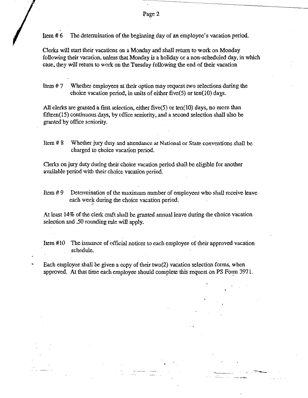Item #6 The determination of the beginning day of an employee's vacation period.

Clerks will start their vacations on a Monday and shall return to work on Monday following their vacation, unless that Monday is a holiday or a non-scheduled day, in which case, they will return to work on the Tuesday following the end of their vacation

Item # 7 Whether employees at their option may request two selections during the choice vacation period, in units of either five(5) or ten(10) days.

All clerks are granted a first selection, either five(5) or ten(10) days, no more than fifteen(15) continuous days, by office seniority, and a second selection shall also be granted by office seniority.

Item# 8 Whether jury duty and attendance at National or State conventions shall be charged to choice vacation period.

Clerks on jury duty during their choice vacation period shall be eligible for another available period with their choice vacation period.

Item# 9 Determination of the maximum number of employees who shall receive leave each week during the choice vacation period.

At least 14% of the clerk craft shall be granted annual leave during the choice vacation selection and .50 rounding rule will apply.

Item #10 The issuance of official notices to each employee of their approved vacation schedule.

Each employee shall be given a copy of their two(2) vacation selection forms, when approved. At that time each employee should complete this request on PS Form 3971.

,.

.. ·~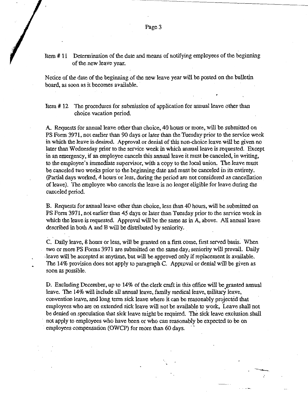#### Item# 11 Determination of the date and means of notifying employees of the beginning of the new leave year.

Notice of the date of the beginning of the new leave year will be posted on the bulletin board, as soon as it becomes available.

Item # 12 The procedures for submission of application for annual leave other than choice vacation period.

A. Requests for annual leave other than choice, 40 hours or more, will be submitted on PS Form 3971, not earlier than 90 days or later than the Tuesday prior to the service week in which the leave is desired. Approval or denial of this non-choice leave will be given no later than Wednesday prior to the service week in which annual leave is requested. Except in an emergency, if an employee cancels this annual leave it must be canceled, in writing, to the employee's immediate supervisor, with a copy to the local union~ The leave must be canceled two weeks prior to the beginning date and must be canceled in its entirety. (Partial days worked, 4 hours or less, during the period are not considered as cancellation of leave). The employee who cancels the leave is no longer eligible for leave during the canceled period.

B. Requests for annual leave other than choice, less than 40 hours, will be submitted on PS Form 3971, not earlier than 45 days or later than Tuesday prior to the service week in which the leave is requested. Approval will be the same as in A, above. All annual leave described in both A and B will be distributed by seniority.

C. Daily leave, 8 hours or less, will be granted on a first come, first served basis. When two or more PS Forms 3971 are submitted on the same day; seruority will prevail. Daily leave will be accepted at anytime, but will be approved only if replacement is available. The 14% provision does not apply to paragraph C. Approval or denial will be given as soon as possible.

D. Excluding December, up to 14% of the clerk craft in this office will be granted annual leave. The 14% will include all annual leave, family medical leave, military leave, convention leave, and long term sick leave where it can be reasonably projected that employees who are on extended sick leave will not be available to work, Leave shall not be denied on speculation that sick leave might be required. The sick leave exclusion shall not apply to employees who have been or who can reasonably be expected to be on employees compensation (OWCP) for more than 60 days.

,.

---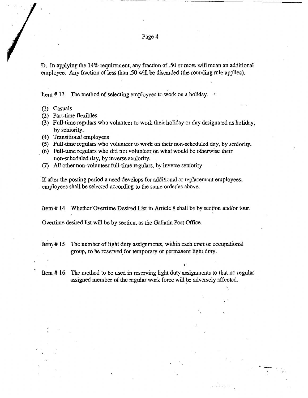D. In applying the 14% requirement, any fraction of .50 or more will mean an additional employee. Any fraction of less than .50 will be discarded (the rounding rule applies).

Item# 13 The method of selecting employees to work on a holiday. •

- (1) Casuals
- (2) Part-time flexibles
- (3) Full-time regulars who volunteer to work their holiday or day designated as holiday, by seniority.
- (4) Transitional employees
- (5) Full-time regulars who volunteer to work on their non-scheduled day, by seniority.
- (6) Full-time regulars who did not volunteer on what would be otherwise their non-scheduled day, by inverse seniority.
- (7) All other non-volunteer full-time regulars, by inverse seniority

If after the posting period a need develops for additional or replacement employees, employees shall be selected according to the same order as above.

Item # 14 Whether Overtime Desired List in Article 8 shall be by section and/or tour.

Overtime desired list will be by section, as the Gallatin Post Office.

Item # 15 The number of light duty assignments, within each craft or occupational group, to be reserved.for temporary or permanent light duty.

Item # 16 The method to be used in reserving light duty assignments to that no regular assigned member of the regular work force will be adversely affected.

-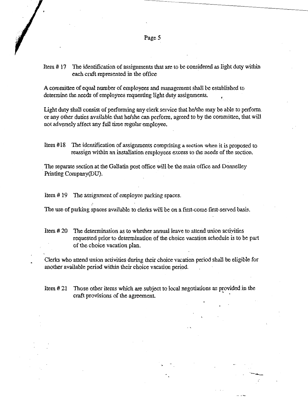-----~--- ----------

Item # 17 The identification of assignments that are to be considered as light duty within each craft represented in the office

A committee of equal number of employees and management shall be established to determine the needs of employees requesting light duty assignments.

Light duty shall consist of performing any clerk service that he/she may be able to perform\_ or any other duties available that he/she can perform, agreed to by the committee, that will not adversely affect any full time regular employee.

Item #18 The identification of assignments comprising a section when it is proposed to reassign within an installation employees excess to the needs of the section .

. The separate section at the Gallatin post office will be the main office and Donnelley Printing Company(DU).

Item# 19 The assignment of employee parking spaces.

The use of parking spaces available to clerks will be on a first-come first-served basis.

- Item # 20 The determination as to whether annual leave to attend union actiyities requested prior to determination of the choice vacation schedule is to be part of the choice vacation plan.
- Clerks who attend union activities during their choice vacation period shall be eligible for another available period within their choice vacation period
- Item # 21 Those other items which are subject to local negotiations as provided in the craft provisions of the agreement. '

-----